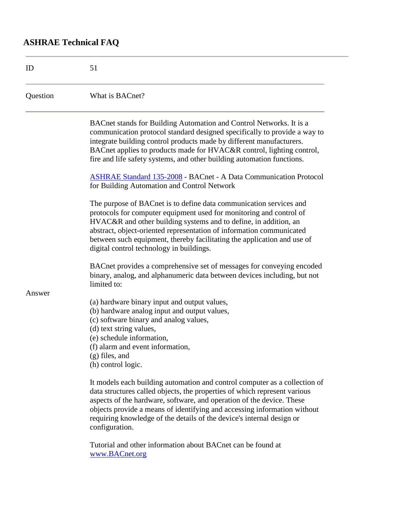## **ASHRAE Technical FAQ**

| ID       | 51                                                                                                                                                                                                                                                                                                                                                                                                           |
|----------|--------------------------------------------------------------------------------------------------------------------------------------------------------------------------------------------------------------------------------------------------------------------------------------------------------------------------------------------------------------------------------------------------------------|
| Question | What is BACnet?                                                                                                                                                                                                                                                                                                                                                                                              |
|          | BACnet stands for Building Automation and Control Networks. It is a<br>communication protocol standard designed specifically to provide a way to<br>integrate building control products made by different manufacturers.<br>BACnet applies to products made for HVAC&R control, lighting control,<br>fire and life safety systems, and other building automation functions.                                  |
|          | <b>ASHRAE Standard 135-2008 - BACnet - A Data Communication Protocol</b><br>for Building Automation and Control Network                                                                                                                                                                                                                                                                                      |
|          | The purpose of BACnet is to define data communication services and<br>protocols for computer equipment used for monitoring and control of<br>HVAC&R and other building systems and to define, in addition, an<br>abstract, object-oriented representation of information communicated<br>between such equipment, thereby facilitating the application and use of<br>digital control technology in buildings. |
|          | BACnet provides a comprehensive set of messages for conveying encoded<br>binary, analog, and alphanumeric data between devices including, but not<br>limited to:                                                                                                                                                                                                                                             |
| Answer   | (a) hardware binary input and output values,<br>(b) hardware analog input and output values,<br>(c) software binary and analog values,<br>(d) text string values,<br>(e) schedule information,<br>(f) alarm and event information,<br>$(g)$ files, and<br>(h) control logic.                                                                                                                                 |
|          | It models each building automation and control computer as a collection of<br>data structures called objects, the properties of which represent various<br>aspects of the hardware, software, and operation of the device. These<br>objects provide a means of identifying and accessing information without<br>requiring knowledge of the details of the device's internal design or<br>configuration.      |

Tutorial and other information about BACnet can be found at www.BACnet.org